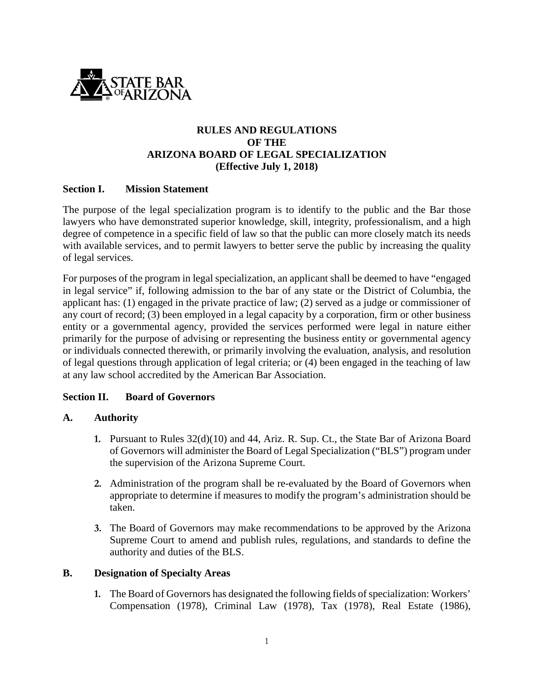

## **RULES AND REGULATIONS OF THE ARIZONA BOARD OF LEGAL SPECIALIZATION (Effective July 1, 2018)**

#### **Section I. Mission Statement**

The purpose of the legal specialization program is to identify to the public and the Bar those lawyers who have demonstrated superior knowledge, skill, integrity, professionalism, and a high degree of competence in a specific field of law so that the public can more closely match its needs with available services, and to permit lawyers to better serve the public by increasing the quality of legal services.

For purposes of the program in legal specialization, an applicant shall be deemed to have "engaged in legal service" if, following admission to the bar of any state or the District of Columbia, the applicant has: (1) engaged in the private practice of law; (2) served as a judge or commissioner of any court of record; (3) been employed in a legal capacity by a corporation, firm or other business entity or a governmental agency, provided the services performed were legal in nature either primarily for the purpose of advising or representing the business entity or governmental agency or individuals connected therewith, or primarily involving the evaluation, analysis, and resolution of legal questions through application of legal criteria; or (4) been engaged in the teaching of law at any law school accredited by the American Bar Association.

#### **Section II. Board of Governors**

#### **A. Authority**

- **1.** Pursuant to Rules 32(d)(10) and 44, Ariz. R. Sup. Ct., the State Bar of Arizona Board of Governors will administer the Board of Legal Specialization ("BLS") program under the supervision of the Arizona Supreme Court.
- **2.** Administration of the program shall be re-evaluated by the Board of Governors when appropriate to determine if measures to modify the program's administration should be taken.
- **3.** The Board of Governors may make recommendations to be approved by the Arizona Supreme Court to amend and publish rules, regulations, and standards to define the authority and duties of the BLS.

#### **B. Designation of Specialty Areas**

**1.** The Board of Governors has designated the following fields of specialization: Workers' Compensation (1978), Criminal Law (1978), Tax (1978), Real Estate (1986),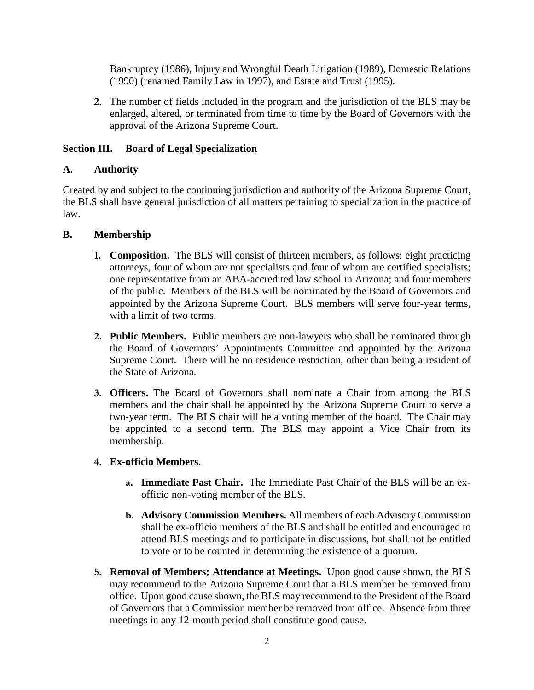Bankruptcy (1986), Injury and Wrongful Death Litigation (1989), Domestic Relations (1990) (renamed Family Law in 1997), and Estate and Trust (1995).

**2.** The number of fields included in the program and the jurisdiction of the BLS may be enlarged, altered, or terminated from time to time by the Board of Governors with the approval of the Arizona Supreme Court.

## **Section III. Board of Legal Specialization**

### **A. Authority**

Created by and subject to the continuing jurisdiction and authority of the Arizona Supreme Court, the BLS shall have general jurisdiction of all matters pertaining to specialization in the practice of law.

### **B. Membership**

- **1. Composition.** The BLS will consist of thirteen members, as follows: eight practicing attorneys, four of whom are not specialists and four of whom are certified specialists; one representative from an ABA-accredited law school in Arizona; and four members of the public. Members of the BLS will be nominated by the Board of Governors and appointed by the Arizona Supreme Court. BLS members will serve four-year terms, with a limit of two terms.
- **2. Public Members.** Public members are non-lawyers who shall be nominated through the Board of Governors' Appointments Committee and appointed by the Arizona Supreme Court. There will be no residence restriction, other than being a resident of the State of Arizona.
- **3. Officers.** The Board of Governors shall nominate a Chair from among the BLS members and the chair shall be appointed by the Arizona Supreme Court to serve a two-year term. The BLS chair will be a voting member of the board. The Chair may be appointed to a second term. The BLS may appoint a Vice Chair from its membership.

## **4. Ex-officio Members.**

- **a. Immediate Past Chair.** The Immediate Past Chair of the BLS will be an exofficio non-voting member of the BLS.
- **b. Advisory Commission Members.** All members of each Advisory Commission shall be ex-officio members of the BLS and shall be entitled and encouraged to attend BLS meetings and to participate in discussions, but shall not be entitled to vote or to be counted in determining the existence of a quorum.
- **5. Removal of Members; Attendance at Meetings.** Upon good cause shown, the BLS may recommend to the Arizona Supreme Court that a BLS member be removed from office. Upon good cause shown, the BLS may recommend to the President of the Board of Governors that a Commission member be removed from office. Absence from three meetings in any 12-month period shall constitute good cause.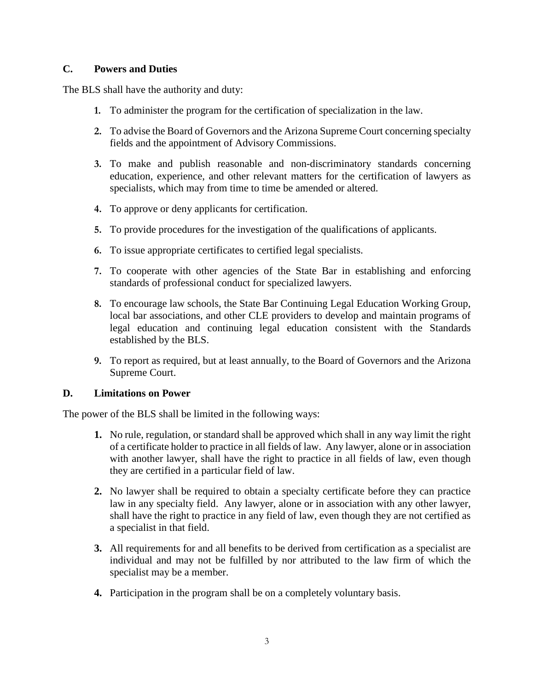### **C. Powers and Duties**

The BLS shall have the authority and duty:

- **1.** To administer the program for the certification of specialization in the law.
- **2.** To advise the Board of Governors and the Arizona Supreme Court concerning specialty fields and the appointment of Advisory Commissions.
- **3.** To make and publish reasonable and non-discriminatory standards concerning education, experience, and other relevant matters for the certification of lawyers as specialists, which may from time to time be amended or altered.
- **4.** To approve or deny applicants for certification.
- **5.** To provide procedures for the investigation of the qualifications of applicants.
- **6.** To issue appropriate certificates to certified legal specialists.
- **7.** To cooperate with other agencies of the State Bar in establishing and enforcing standards of professional conduct for specialized lawyers.
- **8.** To encourage law schools, the State Bar Continuing Legal Education Working Group, local bar associations, and other CLE providers to develop and maintain programs of legal education and continuing legal education consistent with the Standards established by the BLS.
- **9.** To report as required, but at least annually, to the Board of Governors and the Arizona Supreme Court.

#### **D. Limitations on Power**

The power of the BLS shall be limited in the following ways:

- **1.** No rule, regulation, or standard shall be approved which shall in any way limit the right of a certificate holder to practice in all fields of law. Any lawyer, alone or in association with another lawyer, shall have the right to practice in all fields of law, even though they are certified in a particular field of law.
- **2.** No lawyer shall be required to obtain a specialty certificate before they can practice law in any specialty field. Any lawyer, alone or in association with any other lawyer, shall have the right to practice in any field of law, even though they are not certified as a specialist in that field.
- **3.** All requirements for and all benefits to be derived from certification as a specialist are individual and may not be fulfilled by nor attributed to the law firm of which the specialist may be a member.
- **4.** Participation in the program shall be on a completely voluntary basis.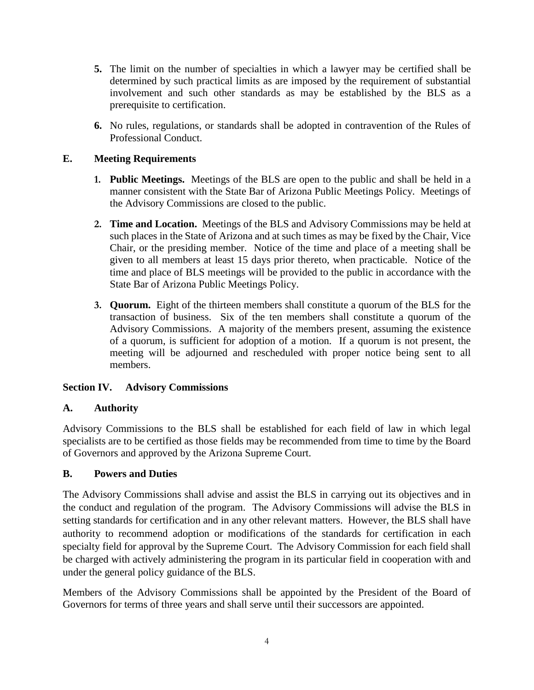- **5.** The limit on the number of specialties in which a lawyer may be certified shall be determined by such practical limits as are imposed by the requirement of substantial involvement and such other standards as may be established by the BLS as a prerequisite to certification.
- **6.** No rules, regulations, or standards shall be adopted in contravention of the Rules of Professional Conduct.

# **E. Meeting Requirements**

- **1. Public Meetings.** Meetings of the BLS are open to the public and shall be held in a manner consistent with the State Bar of Arizona Public Meetings Policy. Meetings of the Advisory Commissions are closed to the public.
- **2. Time and Location.** Meetings of the BLS and Advisory Commissions may be held at such places in the State of Arizona and at such times as may be fixed by the Chair, Vice Chair, or the presiding member. Notice of the time and place of a meeting shall be given to all members at least 15 days prior thereto, when practicable. Notice of the time and place of BLS meetings will be provided to the public in accordance with the State Bar of Arizona Public Meetings Policy.
- **3. Quorum.** Eight of the thirteen members shall constitute a quorum of the BLS for the transaction of business. Six of the ten members shall constitute a quorum of the Advisory Commissions. A majority of the members present, assuming the existence of a quorum, is sufficient for adoption of a motion. If a quorum is not present, the meeting will be adjourned and rescheduled with proper notice being sent to all members.

## **Section IV. Advisory Commissions**

## **A. Authority**

Advisory Commissions to the BLS shall be established for each field of law in which legal specialists are to be certified as those fields may be recommended from time to time by the Board of Governors and approved by the Arizona Supreme Court.

## **B. Powers and Duties**

The Advisory Commissions shall advise and assist the BLS in carrying out its objectives and in the conduct and regulation of the program. The Advisory Commissions will advise the BLS in setting standards for certification and in any other relevant matters. However, the BLS shall have authority to recommend adoption or modifications of the standards for certification in each specialty field for approval by the Supreme Court. The Advisory Commission for each field shall be charged with actively administering the program in its particular field in cooperation with and under the general policy guidance of the BLS.

Members of the Advisory Commissions shall be appointed by the President of the Board of Governors for terms of three years and shall serve until their successors are appointed.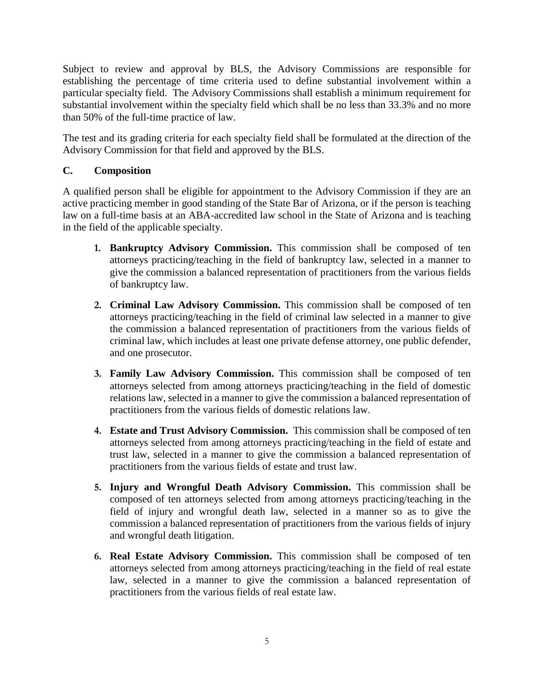Subject to review and approval by BLS, the Advisory Commissions are responsible for establishing the percentage of time criteria used to define substantial involvement within a particular specialty field. The Advisory Commissions shall establish a minimum requirement for substantial involvement within the specialty field which shall be no less than 33.3% and no more than 50% of the full-time practice of law.

The test and its grading criteria for each specialty field shall be formulated at the direction of the Advisory Commission for that field and approved by the BLS.

# **C. Composition**

A qualified person shall be eligible for appointment to the Advisory Commission if they are an active practicing member in good standing of the State Bar of Arizona, or if the person is teaching law on a full-time basis at an ABA-accredited law school in the State of Arizona and is teaching in the field of the applicable specialty.

- **1. Bankruptcy Advisory Commission.** This commission shall be composed of ten attorneys practicing/teaching in the field of bankruptcy law, selected in a manner to give the commission a balanced representation of practitioners from the various fields of bankruptcy law.
- **2. Criminal Law Advisory Commission.** This commission shall be composed of ten attorneys practicing/teaching in the field of criminal law selected in a manner to give the commission a balanced representation of practitioners from the various fields of criminal law, which includes at least one private defense attorney, one public defender, and one prosecutor.
- **3. Family Law Advisory Commission.** This commission shall be composed of ten attorneys selected from among attorneys practicing/teaching in the field of domestic relations law, selected in a manner to give the commission a balanced representation of practitioners from the various fields of domestic relations law.
- **4. Estate and Trust Advisory Commission.** This commission shall be composed of ten attorneys selected from among attorneys practicing/teaching in the field of estate and trust law, selected in a manner to give the commission a balanced representation of practitioners from the various fields of estate and trust law.
- **5. Injury and Wrongful Death Advisory Commission.** This commission shall be composed of ten attorneys selected from among attorneys practicing/teaching in the field of injury and wrongful death law, selected in a manner so as to give the commission a balanced representation of practitioners from the various fields of injury and wrongful death litigation.
- **6. Real Estate Advisory Commission.** This commission shall be composed of ten attorneys selected from among attorneys practicing/teaching in the field of real estate law, selected in a manner to give the commission a balanced representation of practitioners from the various fields of real estate law.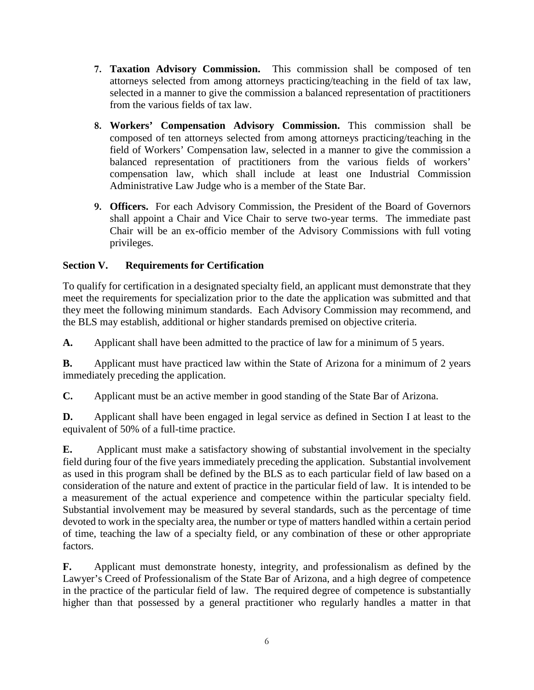- **7. Taxation Advisory Commission.** This commission shall be composed of ten attorneys selected from among attorneys practicing/teaching in the field of tax law, selected in a manner to give the commission a balanced representation of practitioners from the various fields of tax law.
- **8. Workers' Compensation Advisory Commission.** This commission shall be composed of ten attorneys selected from among attorneys practicing/teaching in the field of Workers' Compensation law, selected in a manner to give the commission a balanced representation of practitioners from the various fields of workers' compensation law, which shall include at least one Industrial Commission Administrative Law Judge who is a member of the State Bar.
- **9. Officers.** For each Advisory Commission, the President of the Board of Governors shall appoint a Chair and Vice Chair to serve two-year terms. The immediate past Chair will be an ex-officio member of the Advisory Commissions with full voting privileges.

# **Section V. Requirements for Certification**

To qualify for certification in a designated specialty field, an applicant must demonstrate that they meet the requirements for specialization prior to the date the application was submitted and that they meet the following minimum standards. Each Advisory Commission may recommend, and the BLS may establish, additional or higher standards premised on objective criteria.

**A.** Applicant shall have been admitted to the practice of law for a minimum of 5 years.

**B.** Applicant must have practiced law within the State of Arizona for a minimum of 2 years immediately preceding the application.

**C.** Applicant must be an active member in good standing of the State Bar of Arizona.

**D.** Applicant shall have been engaged in legal service as defined in Section I at least to the equivalent of 50% of a full-time practice.

**E.** Applicant must make a satisfactory showing of substantial involvement in the specialty field during four of the five years immediately preceding the application. Substantial involvement as used in this program shall be defined by the BLS as to each particular field of law based on a consideration of the nature and extent of practice in the particular field of law. It is intended to be a measurement of the actual experience and competence within the particular specialty field. Substantial involvement may be measured by several standards, such as the percentage of time devoted to work in the specialty area, the number or type of matters handled within a certain period of time, teaching the law of a specialty field, or any combination of these or other appropriate factors.

**F.** Applicant must demonstrate honesty, integrity, and professionalism as defined by the Lawyer's Creed of Professionalism of the State Bar of Arizona, and a high degree of competence in the practice of the particular field of law. The required degree of competence is substantially higher than that possessed by a general practitioner who regularly handles a matter in that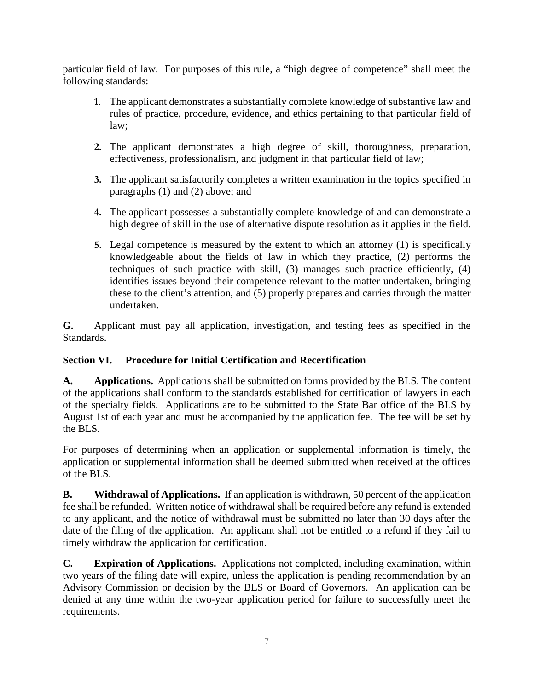particular field of law. For purposes of this rule, a "high degree of competence" shall meet the following standards:

- **1.** The applicant demonstrates a substantially complete knowledge of substantive law and rules of practice, procedure, evidence, and ethics pertaining to that particular field of law;
- **2.** The applicant demonstrates a high degree of skill, thoroughness, preparation, effectiveness, professionalism, and judgment in that particular field of law;
- **3.** The applicant satisfactorily completes a written examination in the topics specified in paragraphs (1) and (2) above; and
- **4.** The applicant possesses a substantially complete knowledge of and can demonstrate a high degree of skill in the use of alternative dispute resolution as it applies in the field.
- **5.** Legal competence is measured by the extent to which an attorney (1) is specifically knowledgeable about the fields of law in which they practice, (2) performs the techniques of such practice with skill, (3) manages such practice efficiently, (4) identifies issues beyond their competence relevant to the matter undertaken, bringing these to the client's attention, and (5) properly prepares and carries through the matter undertaken.

**G.** Applicant must pay all application, investigation, and testing fees as specified in the Standards.

# **Section VI. Procedure for Initial Certification and Recertification**

**A. Applications.** Applications shall be submitted on forms provided by the BLS. The content of the applications shall conform to the standards established for certification of lawyers in each of the specialty fields. Applications are to be submitted to the State Bar office of the BLS by August 1st of each year and must be accompanied by the application fee. The fee will be set by the BLS.

For purposes of determining when an application or supplemental information is timely, the application or supplemental information shall be deemed submitted when received at the offices of the BLS.

**B.** Withdrawal of Applications. If an application is withdrawn, 50 percent of the application fee shall be refunded. Written notice of withdrawal shall be required before any refund is extended to any applicant, and the notice of withdrawal must be submitted no later than 30 days after the date of the filing of the application. An applicant shall not be entitled to a refund if they fail to timely withdraw the application for certification.

**C. Expiration of Applications.** Applications not completed, including examination, within two years of the filing date will expire, unless the application is pending recommendation by an Advisory Commission or decision by the BLS or Board of Governors. An application can be denied at any time within the two-year application period for failure to successfully meet the requirements.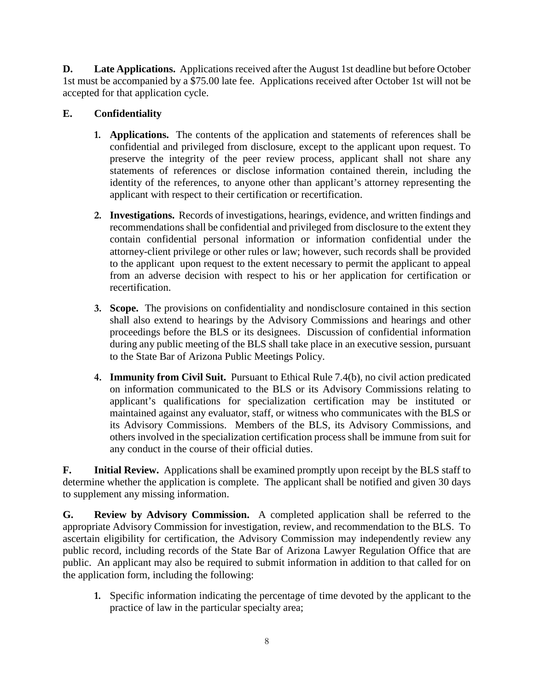**D. Late Applications.** Applications received after the August 1st deadline but before October 1st must be accompanied by a \$75.00 late fee. Applications received after October 1st will not be accepted for that application cycle.

# **E. Confidentiality**

- **1. Applications.** The contents of the application and statements of references shall be confidential and privileged from disclosure, except to the applicant upon request. To preserve the integrity of the peer review process, applicant shall not share any statements of references or disclose information contained therein, including the identity of the references, to anyone other than applicant's attorney representing the applicant with respect to their certification or recertification.
- **2. Investigations.** Records of investigations, hearings, evidence, and written findings and recommendations shall be confidential and privileged from disclosure to the extent they contain confidential personal information or information confidential under the attorney-client privilege or other rules or law; however, such records shall be provided to the applicant upon request to the extent necessary to permit the applicant to appeal from an adverse decision with respect to his or her application for certification or recertification.
- **3. Scope.** The provisions on confidentiality and nondisclosure contained in this section shall also extend to hearings by the Advisory Commissions and hearings and other proceedings before the BLS or its designees. Discussion of confidential information during any public meeting of the BLS shall take place in an executive session, pursuant to the State Bar of Arizona Public Meetings Policy.
- **4. Immunity from Civil Suit.** Pursuant to Ethical Rule 7.4(b), no civil action predicated on information communicated to the BLS or its Advisory Commissions relating to applicant's qualifications for specialization certification may be instituted or maintained against any evaluator, staff, or witness who communicates with the BLS or its Advisory Commissions. Members of the BLS, its Advisory Commissions, and others involved in the specialization certification process shall be immune from suit for any conduct in the course of their official duties.

**F. Initial Review.** Applications shall be examined promptly upon receipt by the BLS staff to determine whether the application is complete. The applicant shall be notified and given 30 days to supplement any missing information.

**G. Review by Advisory Commission.** A completed application shall be referred to the appropriate Advisory Commission for investigation, review, and recommendation to the BLS. To ascertain eligibility for certification, the Advisory Commission may independently review any public record, including records of the State Bar of Arizona Lawyer Regulation Office that are public. An applicant may also be required to submit information in addition to that called for on the application form, including the following:

**1.** Specific information indicating the percentage of time devoted by the applicant to the practice of law in the particular specialty area;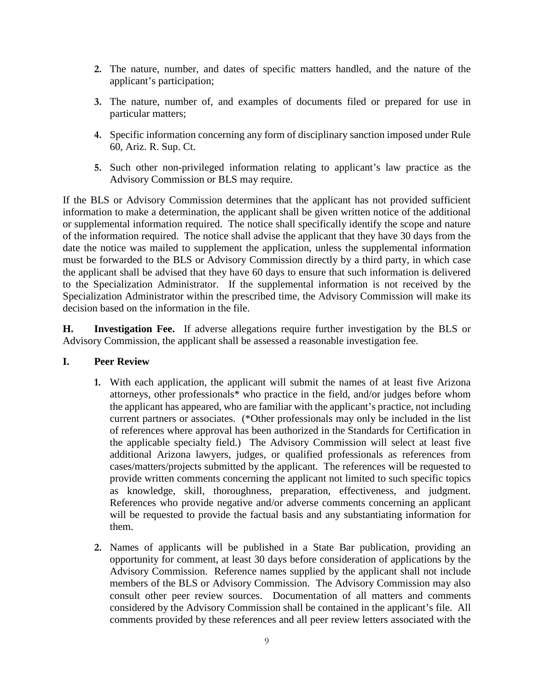- **2.** The nature, number, and dates of specific matters handled, and the nature of the applicant's participation;
- **3.** The nature, number of, and examples of documents filed or prepared for use in particular matters;
- **4.** Specific information concerning any form of disciplinary sanction imposed under Rule 60, Ariz. R. Sup. Ct.
- **5.** Such other non-privileged information relating to applicant's law practice as the Advisory Commission or BLS may require.

If the BLS or Advisory Commission determines that the applicant has not provided sufficient information to make a determination, the applicant shall be given written notice of the additional or supplemental information required. The notice shall specifically identify the scope and nature of the information required. The notice shall advise the applicant that they have 30 days from the date the notice was mailed to supplement the application, unless the supplemental information must be forwarded to the BLS or Advisory Commission directly by a third party, in which case the applicant shall be advised that they have 60 days to ensure that such information is delivered to the Specialization Administrator. If the supplemental information is not received by the Specialization Administrator within the prescribed time, the Advisory Commission will make its decision based on the information in the file.

**H. Investigation Fee.** If adverse allegations require further investigation by the BLS or Advisory Commission, the applicant shall be assessed a reasonable investigation fee.

#### **I. Peer Review**

- **1.** With each application, the applicant will submit the names of at least five Arizona attorneys, other professionals\* who practice in the field, and/or judges before whom the applicant has appeared, who are familiar with the applicant's practice, not including current partners or associates. (\*Other professionals may only be included in the list of references where approval has been authorized in the Standards for Certification in the applicable specialty field.) The Advisory Commission will select at least five additional Arizona lawyers, judges, or qualified professionals as references from cases/matters/projects submitted by the applicant. The references will be requested to provide written comments concerning the applicant not limited to such specific topics as knowledge, skill, thoroughness, preparation, effectiveness, and judgment. References who provide negative and/or adverse comments concerning an applicant will be requested to provide the factual basis and any substantiating information for them.
- **2.** Names of applicants will be published in a State Bar publication, providing an opportunity for comment, at least 30 days before consideration of applications by the Advisory Commission. Reference names supplied by the applicant shall not include members of the BLS or Advisory Commission. The Advisory Commission may also consult other peer review sources. Documentation of all matters and comments considered by the Advisory Commission shall be contained in the applicant's file. All comments provided by these references and all peer review letters associated with the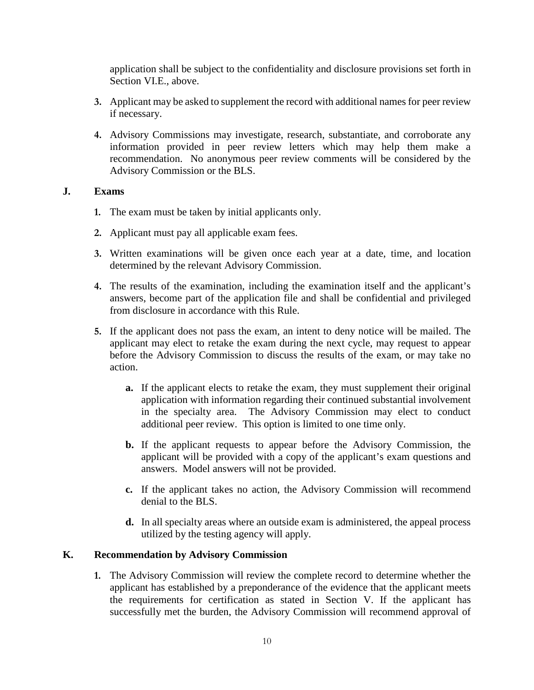application shall be subject to the confidentiality and disclosure provisions set forth in Section VI.E., above.

- **3.** Applicant may be asked to supplement the record with additional names for peer review if necessary.
- **4.** Advisory Commissions may investigate, research, substantiate, and corroborate any information provided in peer review letters which may help them make a recommendation. No anonymous peer review comments will be considered by the Advisory Commission or the BLS.

#### **J. Exams**

- **1.** The exam must be taken by initial applicants only.
- **2.** Applicant must pay all applicable exam fees.
- **3.** Written examinations will be given once each year at a date, time, and location determined by the relevant Advisory Commission.
- **4.** The results of the examination, including the examination itself and the applicant's answers, become part of the application file and shall be confidential and privileged from disclosure in accordance with this Rule.
- **5.** If the applicant does not pass the exam, an intent to deny notice will be mailed. The applicant may elect to retake the exam during the next cycle, may request to appear before the Advisory Commission to discuss the results of the exam, or may take no action.
	- **a.** If the applicant elects to retake the exam, they must supplement their original application with information regarding their continued substantial involvement in the specialty area. The Advisory Commission may elect to conduct additional peer review. This option is limited to one time only.
	- **b.** If the applicant requests to appear before the Advisory Commission, the applicant will be provided with a copy of the applicant's exam questions and answers. Model answers will not be provided.
	- **c.** If the applicant takes no action, the Advisory Commission will recommend denial to the BLS.
	- **d.** In all specialty areas where an outside exam is administered, the appeal process utilized by the testing agency will apply.

#### **K. Recommendation by Advisory Commission**

**1.** The Advisory Commission will review the complete record to determine whether the applicant has established by a preponderance of the evidence that the applicant meets the requirements for certification as stated in Section V. If the applicant has successfully met the burden, the Advisory Commission will recommend approval of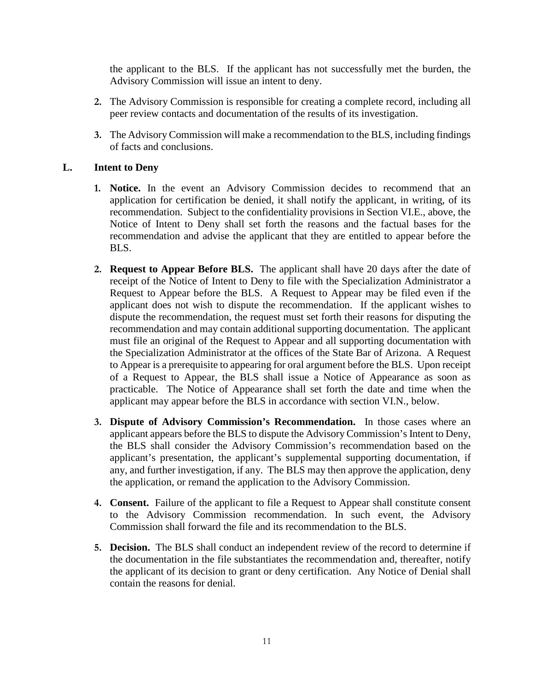the applicant to the BLS. If the applicant has not successfully met the burden, the Advisory Commission will issue an intent to deny.

- **2.** The Advisory Commission is responsible for creating a complete record, including all peer review contacts and documentation of the results of its investigation.
- **3.** The Advisory Commission will make a recommendation to the BLS, including findings of facts and conclusions.

#### **L. Intent to Deny**

- **1. Notice.** In the event an Advisory Commission decides to recommend that an application for certification be denied, it shall notify the applicant, in writing, of its recommendation. Subject to the confidentiality provisions in Section VI.E., above, the Notice of Intent to Deny shall set forth the reasons and the factual bases for the recommendation and advise the applicant that they are entitled to appear before the BLS.
- **2. Request to Appear Before BLS.** The applicant shall have 20 days after the date of receipt of the Notice of Intent to Deny to file with the Specialization Administrator a Request to Appear before the BLS. A Request to Appear may be filed even if the applicant does not wish to dispute the recommendation. If the applicant wishes to dispute the recommendation, the request must set forth their reasons for disputing the recommendation and may contain additional supporting documentation. The applicant must file an original of the Request to Appear and all supporting documentation with the Specialization Administrator at the offices of the State Bar of Arizona. A Request to Appear is a prerequisite to appearing for oral argument before the BLS. Upon receipt of a Request to Appear, the BLS shall issue a Notice of Appearance as soon as practicable. The Notice of Appearance shall set forth the date and time when the applicant may appear before the BLS in accordance with section VI.N., below.
- **3. Dispute of Advisory Commission's Recommendation.** In those cases where an applicant appears before the BLS to dispute the Advisory Commission's Intent to Deny, the BLS shall consider the Advisory Commission's recommendation based on the applicant's presentation, the applicant's supplemental supporting documentation, if any, and further investigation, if any. The BLS may then approve the application, deny the application, or remand the application to the Advisory Commission.
- **4. Consent.** Failure of the applicant to file a Request to Appear shall constitute consent to the Advisory Commission recommendation. In such event, the Advisory Commission shall forward the file and its recommendation to the BLS.
- **5. Decision.** The BLS shall conduct an independent review of the record to determine if the documentation in the file substantiates the recommendation and, thereafter, notify the applicant of its decision to grant or deny certification. Any Notice of Denial shall contain the reasons for denial.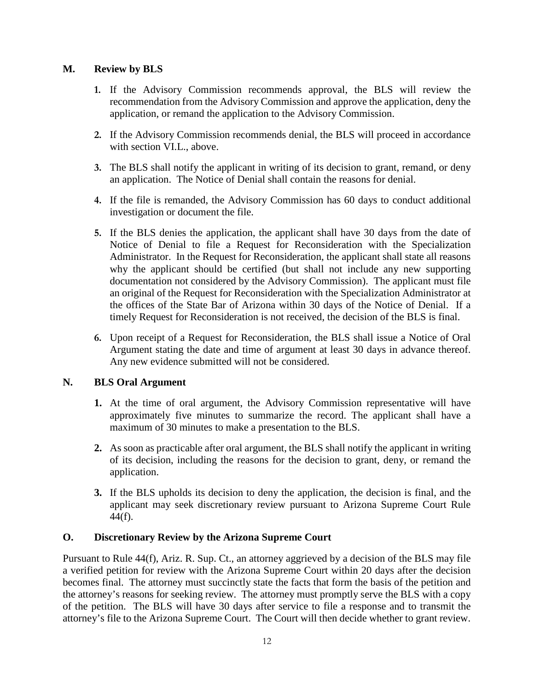# **M. Review by BLS**

- **1.** If the Advisory Commission recommends approval, the BLS will review the recommendation from the Advisory Commission and approve the application, deny the application, or remand the application to the Advisory Commission.
- **2.** If the Advisory Commission recommends denial, the BLS will proceed in accordance with section VI.L., above.
- **3.** The BLS shall notify the applicant in writing of its decision to grant, remand, or deny an application. The Notice of Denial shall contain the reasons for denial.
- **4.** If the file is remanded, the Advisory Commission has 60 days to conduct additional investigation or document the file.
- **5.** If the BLS denies the application, the applicant shall have 30 days from the date of Notice of Denial to file a Request for Reconsideration with the Specialization Administrator. In the Request for Reconsideration, the applicant shall state all reasons why the applicant should be certified (but shall not include any new supporting documentation not considered by the Advisory Commission). The applicant must file an original of the Request for Reconsideration with the Specialization Administrator at the offices of the State Bar of Arizona within 30 days of the Notice of Denial. If a timely Request for Reconsideration is not received, the decision of the BLS is final.
- **6.** Upon receipt of a Request for Reconsideration, the BLS shall issue a Notice of Oral Argument stating the date and time of argument at least 30 days in advance thereof. Any new evidence submitted will not be considered.

## **N. BLS Oral Argument**

- **1.** At the time of oral argument, the Advisory Commission representative will have approximately five minutes to summarize the record. The applicant shall have a maximum of 30 minutes to make a presentation to the BLS.
- **2.** As soon as practicable after oral argument, the BLS shall notify the applicant in writing of its decision, including the reasons for the decision to grant, deny, or remand the application.
- **3.** If the BLS upholds its decision to deny the application, the decision is final, and the applicant may seek discretionary review pursuant to Arizona Supreme Court Rule  $44(f)$ .

## **O. Discretionary Review by the Arizona Supreme Court**

Pursuant to Rule 44(f), Ariz. R. Sup. Ct., an attorney aggrieved by a decision of the BLS may file a verified petition for review with the Arizona Supreme Court within 20 days after the decision becomes final. The attorney must succinctly state the facts that form the basis of the petition and the attorney's reasons for seeking review. The attorney must promptly serve the BLS with a copy of the petition. The BLS will have 30 days after service to file a response and to transmit the attorney's file to the Arizona Supreme Court. The Court will then decide whether to grant review.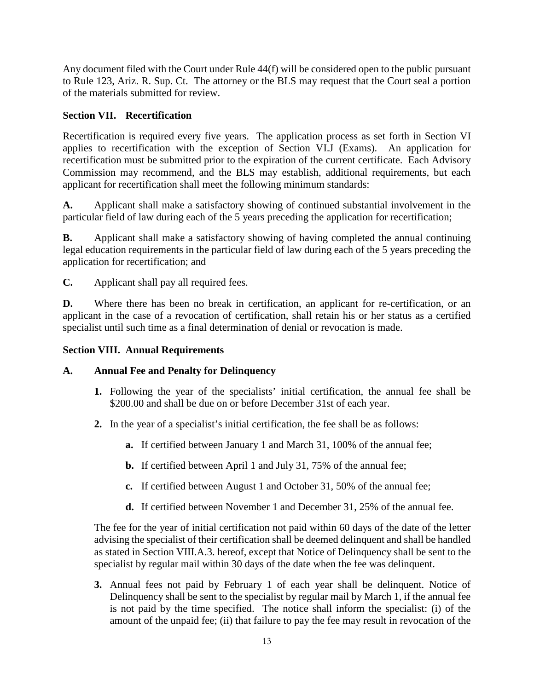Any document filed with the Court under Rule 44(f) will be considered open to the public pursuant to Rule 123, Ariz. R. Sup. Ct. The attorney or the BLS may request that the Court seal a portion of the materials submitted for review.

# **Section VII. Recertification**

Recertification is required every five years. The application process as set forth in Section VI applies to recertification with the exception of Section VI.J (Exams). An application for recertification must be submitted prior to the expiration of the current certificate. Each Advisory Commission may recommend, and the BLS may establish, additional requirements, but each applicant for recertification shall meet the following minimum standards:

**A.** Applicant shall make a satisfactory showing of continued substantial involvement in the particular field of law during each of the 5 years preceding the application for recertification;

**B.** Applicant shall make a satisfactory showing of having completed the annual continuing legal education requirements in the particular field of law during each of the 5 years preceding the application for recertification; and

**C.** Applicant shall pay all required fees.

**D.** Where there has been no break in certification, an applicant for re-certification, or an applicant in the case of a revocation of certification, shall retain his or her status as a certified specialist until such time as a final determination of denial or revocation is made.

## **Section VIII. Annual Requirements**

## **A. Annual Fee and Penalty for Delinquency**

- **1.** Following the year of the specialists' initial certification, the annual fee shall be \$200.00 and shall be due on or before December 31st of each year.
- **2.** In the year of a specialist's initial certification, the fee shall be as follows:
	- **a.** If certified between January 1 and March 31, 100% of the annual fee;
	- **b.** If certified between April 1 and July 31, 75% of the annual fee;
	- **c.** If certified between August 1 and October 31, 50% of the annual fee;
	- **d.** If certified between November 1 and December 31, 25% of the annual fee.

The fee for the year of initial certification not paid within 60 days of the date of the letter advising the specialist of their certification shall be deemed delinquent and shall be handled as stated in Section VIII.A.3. hereof, except that Notice of Delinquency shall be sent to the specialist by regular mail within 30 days of the date when the fee was delinquent.

**3.** Annual fees not paid by February 1 of each year shall be delinquent. Notice of Delinquency shall be sent to the specialist by regular mail by March 1, if the annual fee is not paid by the time specified. The notice shall inform the specialist: (i) of the amount of the unpaid fee; (ii) that failure to pay the fee may result in revocation of the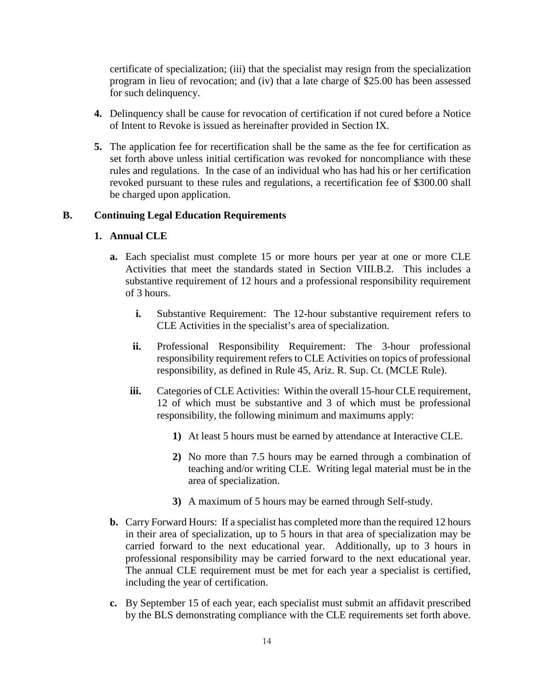certificate of specialization; (iii) that the specialist may resign from the specialization program in lieu of revocation; and (iv) that a late charge of \$25.00 has been assessed for such delinquency.

- **4.** Delinquency shall be cause for revocation of certification if not cured before a Notice of Intent to Revoke is issued as hereinafter provided in Section IX.
- **5.** The application fee for recertification shall be the same as the fee for certification as set forth above unless initial certification was revoked for noncompliance with these rules and regulations. In the case of an individual who has had his or her certification revoked pursuant to these rules and regulations, a recertification fee of \$300.00 shall be charged upon application.

### **B. Continuing Legal Education Requirements**

#### **1. Annual CLE**

- **a.** Each specialist must complete 15 or more hours per year at one or more CLE Activities that meet the standards stated in Section VIII.B.2. This includes a substantive requirement of 12 hours and a professional responsibility requirement of 3 hours.
	- **i.** Substantive Requirement: The 12-hour substantive requirement refers to CLE Activities in the specialist's area of specialization.
	- **ii.** Professional Responsibility Requirement: The 3-hour professional responsibility requirement refers to CLE Activities on topics of professional responsibility, as defined in Rule 45, Ariz. R. Sup. Ct. (MCLE Rule).
	- **iii.** Categories of CLE Activities: Within the overall 15-hour CLE requirement, 12 of which must be substantive and 3 of which must be professional responsibility, the following minimum and maximums apply:
		- **1)** At least 5 hours must be earned by attendance at Interactive CLE.
		- **2)** No more than 7.5 hours may be earned through a combination of teaching and/or writing CLE. Writing legal material must be in the area of specialization.
		- **3)** A maximum of 5 hours may be earned through Self-study.
- **b.** Carry Forward Hours: If a specialist has completed more than the required 12 hours in their area of specialization, up to 5 hours in that area of specialization may be carried forward to the next educational year. Additionally, up to 3 hours in professional responsibility may be carried forward to the next educational year. The annual CLE requirement must be met for each year a specialist is certified, including the year of certification.
- **c.** By September 15 of each year, each specialist must submit an affidavit prescribed by the BLS demonstrating compliance with the CLE requirements set forth above.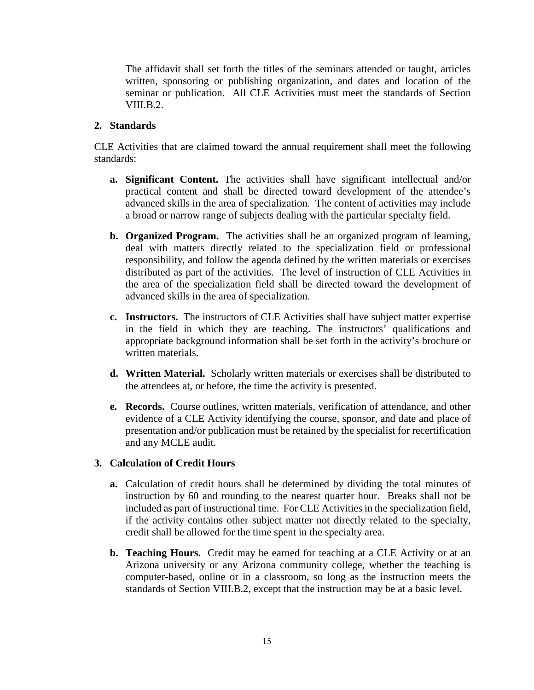The affidavit shall set forth the titles of the seminars attended or taught, articles written, sponsoring or publishing organization, and dates and location of the seminar or publication. All CLE Activities must meet the standards of Section VIII.B.2.

### **2. Standards**

CLE Activities that are claimed toward the annual requirement shall meet the following standards:

- **a. Significant Content.** The activities shall have significant intellectual and/or practical content and shall be directed toward development of the attendee's advanced skills in the area of specialization. The content of activities may include a broad or narrow range of subjects dealing with the particular specialty field.
- **b. Organized Program.** The activities shall be an organized program of learning, deal with matters directly related to the specialization field or professional responsibility, and follow the agenda defined by the written materials or exercises distributed as part of the activities. The level of instruction of CLE Activities in the area of the specialization field shall be directed toward the development of advanced skills in the area of specialization.
- **c. Instructors.** The instructors of CLE Activities shall have subject matter expertise in the field in which they are teaching. The instructors' qualifications and appropriate background information shall be set forth in the activity's brochure or written materials.
- **d. Written Material.** Scholarly written materials or exercises shall be distributed to the attendees at, or before, the time the activity is presented.
- **e. Records.** Course outlines, written materials, verification of attendance, and other evidence of a CLE Activity identifying the course, sponsor, and date and place of presentation and/or publication must be retained by the specialist for recertification and any MCLE audit.

#### **3. Calculation of Credit Hours**

- **a.** Calculation of credit hours shall be determined by dividing the total minutes of instruction by 60 and rounding to the nearest quarter hour. Breaks shall not be included as part of instructional time. For CLE Activities in the specialization field, if the activity contains other subject matter not directly related to the specialty, credit shall be allowed for the time spent in the specialty area.
- **b. Teaching Hours.** Credit may be earned for teaching at a CLE Activity or at an Arizona university or any Arizona community college, whether the teaching is computer-based, online or in a classroom, so long as the instruction meets the standards of Section VIII.B.2, except that the instruction may be at a basic level.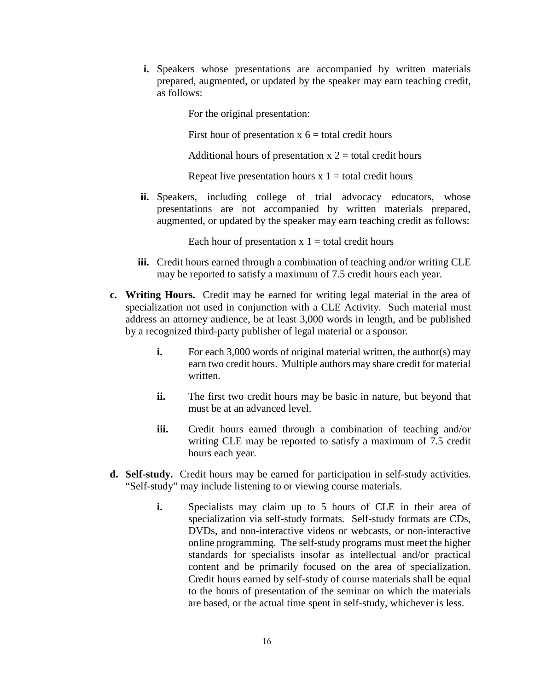**i.** Speakers whose presentations are accompanied by written materials prepared, augmented, or updated by the speaker may earn teaching credit, as follows:

For the original presentation:

First hour of presentation  $x$   $6 =$  total credit hours

Additional hours of presentation  $x^2$  = total credit hours

Repeat live presentation hours  $x_1$  = total credit hours

ii. Speakers, including college of trial advocacy educators, whose presentations are not accompanied by written materials prepared, augmented, or updated by the speaker may earn teaching credit as follows:

Each hour of presentation  $x 1 =$  total credit hours

- **iii.** Credit hours earned through a combination of teaching and/or writing CLE may be reported to satisfy a maximum of 7.5 credit hours each year.
- **c. Writing Hours.** Credit may be earned for writing legal material in the area of specialization not used in conjunction with a CLE Activity. Such material must address an attorney audience, be at least 3,000 words in length, and be published by a recognized third-party publisher of legal material or a sponsor.
	- **i.** For each 3,000 words of original material written, the author(s) may earn two credit hours. Multiple authors may share credit for material written.
	- **ii.** The first two credit hours may be basic in nature, but beyond that must be at an advanced level.
	- **iii.** Credit hours earned through a combination of teaching and/or writing CLE may be reported to satisfy a maximum of 7.5 credit hours each year.
- **d. Self-study.** Credit hours may be earned for participation in self-study activities. "Self-study" may include listening to or viewing course materials.
	- **i.** Specialists may claim up to 5 hours of CLE in their area of specialization via self-study formats. Self-study formats are CDs, DVDs, and non-interactive videos or webcasts, or non-interactive online programming. The self-study programs must meet the higher standards for specialists insofar as intellectual and/or practical content and be primarily focused on the area of specialization. Credit hours earned by self-study of course materials shall be equal to the hours of presentation of the seminar on which the materials are based, or the actual time spent in self-study, whichever is less.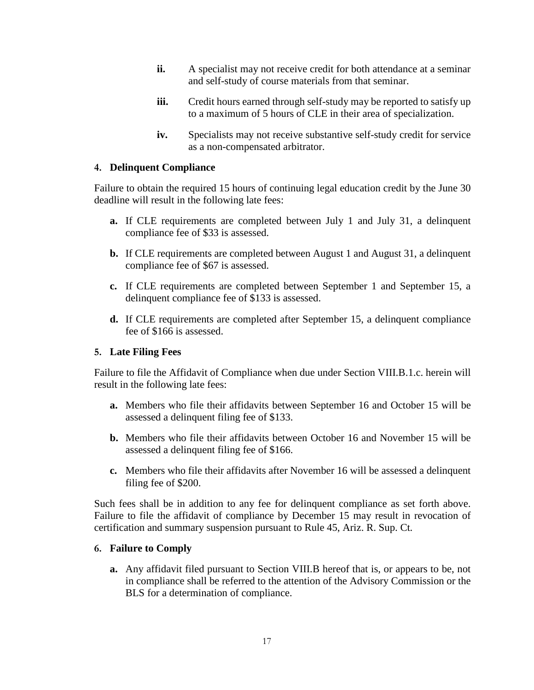- **ii.** A specialist may not receive credit for both attendance at a seminar and self-study of course materials from that seminar.
- **iii.** Credit hours earned through self-study may be reported to satisfy up to a maximum of 5 hours of CLE in their area of specialization.
- **iv.** Specialists may not receive substantive self-study credit for service as a non-compensated arbitrator.

#### **4. Delinquent Compliance**

Failure to obtain the required 15 hours of continuing legal education credit by the June 30 deadline will result in the following late fees:

- **a.** If CLE requirements are completed between July 1 and July 31, a delinquent compliance fee of \$33 is assessed.
- **b.** If CLE requirements are completed between August 1 and August 31, a delinquent compliance fee of \$67 is assessed.
- **c.** If CLE requirements are completed between September 1 and September 15, a delinquent compliance fee of \$133 is assessed.
- **d.** If CLE requirements are completed after September 15, a delinquent compliance fee of \$166 is assessed.

#### **5. Late Filing Fees**

Failure to file the Affidavit of Compliance when due under Section VIII.B.1.c. herein will result in the following late fees:

- **a.** Members who file their affidavits between September 16 and October 15 will be assessed a delinquent filing fee of \$133.
- **b.** Members who file their affidavits between October 16 and November 15 will be assessed a delinquent filing fee of \$166.
- **c.** Members who file their affidavits after November 16 will be assessed a delinquent filing fee of \$200.

Such fees shall be in addition to any fee for delinquent compliance as set forth above. Failure to file the affidavit of compliance by December 15 may result in revocation of certification and summary suspension pursuant to Rule 45, Ariz. R. Sup. Ct.

#### **6. Failure to Comply**

**a.** Any affidavit filed pursuant to Section VIII.B hereof that is, or appears to be, not in compliance shall be referred to the attention of the Advisory Commission or the BLS for a determination of compliance.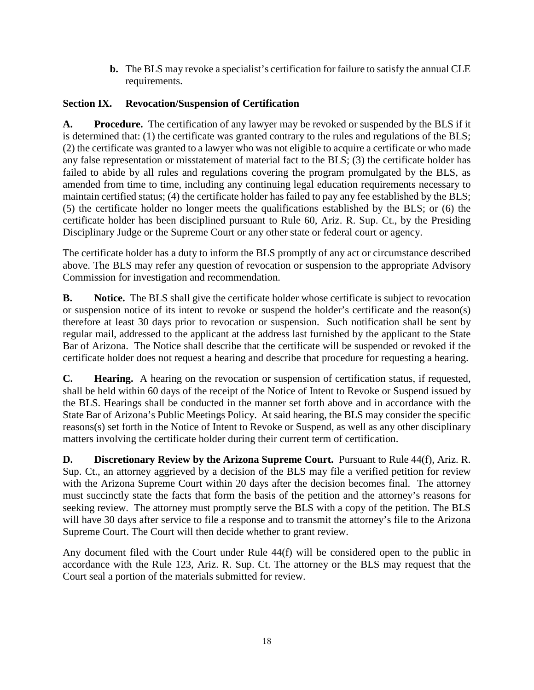**b.** The BLS may revoke a specialist's certification for failure to satisfy the annual CLE requirements.

# **Section IX. Revocation/Suspension of Certification**

**A. Procedure.** The certification of any lawyer may be revoked or suspended by the BLS if it is determined that: (1) the certificate was granted contrary to the rules and regulations of the BLS; (2) the certificate was granted to a lawyer who was not eligible to acquire a certificate or who made any false representation or misstatement of material fact to the BLS; (3) the certificate holder has failed to abide by all rules and regulations covering the program promulgated by the BLS, as amended from time to time, including any continuing legal education requirements necessary to maintain certified status; (4) the certificate holder has failed to pay any fee established by the BLS; (5) the certificate holder no longer meets the qualifications established by the BLS; or (6) the certificate holder has been disciplined pursuant to Rule 60, Ariz. R. Sup. Ct., by the Presiding Disciplinary Judge or the Supreme Court or any other state or federal court or agency.

The certificate holder has a duty to inform the BLS promptly of any act or circumstance described above. The BLS may refer any question of revocation or suspension to the appropriate Advisory Commission for investigation and recommendation.

**B.** Notice. The BLS shall give the certificate holder whose certificate is subject to revocation or suspension notice of its intent to revoke or suspend the holder's certificate and the reason(s) therefore at least 30 days prior to revocation or suspension. Such notification shall be sent by regular mail, addressed to the applicant at the address last furnished by the applicant to the State Bar of Arizona. The Notice shall describe that the certificate will be suspended or revoked if the certificate holder does not request a hearing and describe that procedure for requesting a hearing.

**C. Hearing.** A hearing on the revocation or suspension of certification status, if requested, shall be held within 60 days of the receipt of the Notice of Intent to Revoke or Suspend issued by the BLS. Hearings shall be conducted in the manner set forth above and in accordance with the State Bar of Arizona's Public Meetings Policy. At said hearing, the BLS may consider the specific reasons(s) set forth in the Notice of Intent to Revoke or Suspend, as well as any other disciplinary matters involving the certificate holder during their current term of certification.

**D. Discretionary Review by the Arizona Supreme Court.** Pursuant to Rule 44(f), Ariz. R. Sup. Ct., an attorney aggrieved by a decision of the BLS may file a verified petition for review with the Arizona Supreme Court within 20 days after the decision becomes final. The attorney must succinctly state the facts that form the basis of the petition and the attorney's reasons for seeking review. The attorney must promptly serve the BLS with a copy of the petition. The BLS will have 30 days after service to file a response and to transmit the attorney's file to the Arizona Supreme Court. The Court will then decide whether to grant review.

Any document filed with the Court under Rule 44(f) will be considered open to the public in accordance with the Rule 123, Ariz. R. Sup. Ct. The attorney or the BLS may request that the Court seal a portion of the materials submitted for review.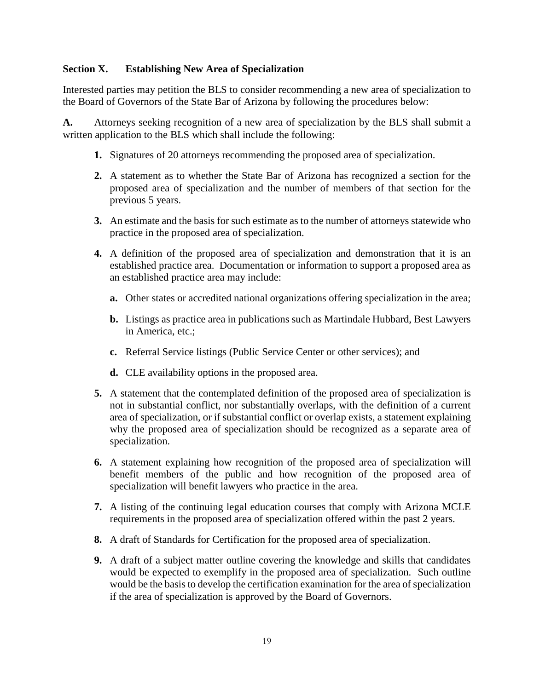### **Section X. Establishing New Area of Specialization**

Interested parties may petition the BLS to consider recommending a new area of specialization to the Board of Governors of the State Bar of Arizona by following the procedures below:

**A.** Attorneys seeking recognition of a new area of specialization by the BLS shall submit a written application to the BLS which shall include the following:

- **1.** Signatures of 20 attorneys recommending the proposed area of specialization.
- **2.** A statement as to whether the State Bar of Arizona has recognized a section for the proposed area of specialization and the number of members of that section for the previous 5 years.
- **3.** An estimate and the basis for such estimate as to the number of attorneys statewide who practice in the proposed area of specialization.
- **4.** A definition of the proposed area of specialization and demonstration that it is an established practice area. Documentation or information to support a proposed area as an established practice area may include:
	- **a.** Other states or accredited national organizations offering specialization in the area;
	- **b.** Listings as practice area in publications such as Martindale Hubbard, Best Lawyers in America, etc.;
	- **c.** Referral Service listings (Public Service Center or other services); and
	- **d.** CLE availability options in the proposed area.
- **5.** A statement that the contemplated definition of the proposed area of specialization is not in substantial conflict, nor substantially overlaps, with the definition of a current area of specialization, or if substantial conflict or overlap exists, a statement explaining why the proposed area of specialization should be recognized as a separate area of specialization.
- **6.** A statement explaining how recognition of the proposed area of specialization will benefit members of the public and how recognition of the proposed area of specialization will benefit lawyers who practice in the area.
- **7.** A listing of the continuing legal education courses that comply with Arizona MCLE requirements in the proposed area of specialization offered within the past 2 years.
- **8.** A draft of Standards for Certification for the proposed area of specialization.
- **9.** A draft of a subject matter outline covering the knowledge and skills that candidates would be expected to exemplify in the proposed area of specialization. Such outline would be the basis to develop the certification examination for the area of specialization if the area of specialization is approved by the Board of Governors.